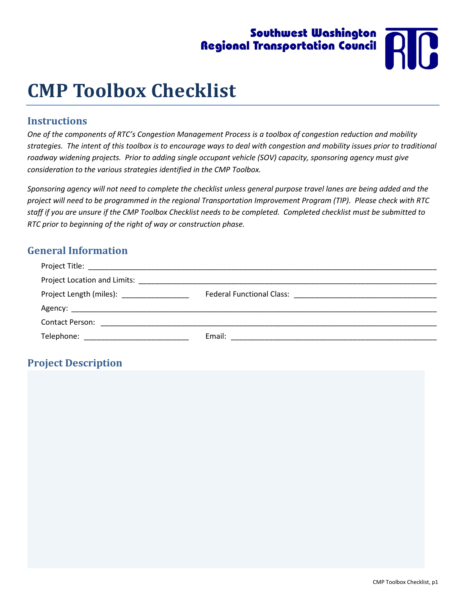# Southwest Washington Regional Transportation Council



# **CMP Toolbox Checklist**

# **Instructions**

*One of the components of RTC's Congestion Management Process is a toolbox of congestion reduction and mobility strategies. The intent of this toolbox is to encourage ways to deal with congestion and mobility issues prior to traditional roadway widening projects. Prior to adding single occupant vehicle (SOV) capacity, sponsoring agency must give consideration to the various strategies identified in the CMP Toolbox.*

*Sponsoring agency will not need to complete the checklist unless general purpose travel lanes are being added and the project will need to be programmed in the regional Transportation Improvement Program (TIP). Please check with RTC staff if you are unsure if the CMP Toolbox Checklist needs to be completed. Completed checklist must be submitted to RTC prior to beginning of the right of way or construction phase.* 

# **General Information**

| Project Location and Limits:                                                                                                                                                                                                                                   |        |
|----------------------------------------------------------------------------------------------------------------------------------------------------------------------------------------------------------------------------------------------------------------|--------|
| Project Length (miles): National Assembly Project Length (miles):                                                                                                                                                                                              |        |
|                                                                                                                                                                                                                                                                |        |
| <b>Contact Person:</b><br><u> 1989 - Jan Barnett, mars ann an t-Amhraid ann an t-Amhraid ann an t-Amhraid ann an t-Amhraid ann an t-Amhraid ann an t-Amhraid ann an t-Amhraid ann an t-Amhraid ann an t-Amhraid ann an t-Amhraid ann an t-Amhraid ann an t</u> |        |
| Telephone:                                                                                                                                                                                                                                                     | Email: |

# **Project Description**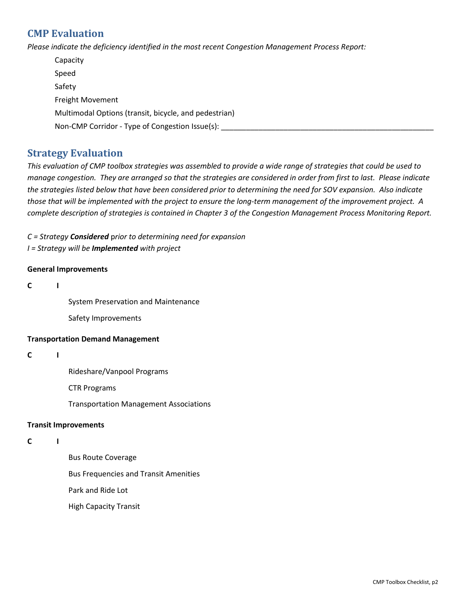# **CMP Evaluation**

*Please indicate the deficiency identified in the most recent Congestion Management Process Report:*

| Capacity                                              |  |
|-------------------------------------------------------|--|
| Speed                                                 |  |
| Safety                                                |  |
| Freight Movement                                      |  |
| Multimodal Options (transit, bicycle, and pedestrian) |  |
| Non-CMP Corridor - Type of Congestion Issue(s):       |  |

# **Strategy Evaluation**

*This evaluation of CMP toolbox strategies was assembled to provide a wide range of strategies that could be used to manage congestion. They are arranged so that the strategies are considered in order from first to last. Please indicate the strategies listed below that have been considered prior to determining the need for SOV expansion. Also indicate those that will be implemented with the project to ensure the long-term management of the improvement project. A complete description of strategies is contained in Chapter 3 of the Congestion Management Process Monitoring Report.*

*C = Strategy Considered* p*rior to determining need for expansion I = Strategy will be Implemented with project*

## **General Improvements**

## **C I**

System Preservation and Maintenance

Safety Improvements

## **Transportation Demand Management**

## **C I**

Rideshare/Vanpool Programs

CTR Programs

Transportation Management Associations

## **Transit Improvements**

## **C I**

Bus Route Coverage Bus Frequencies and Transit Amenities Park and Ride Lot High Capacity Transit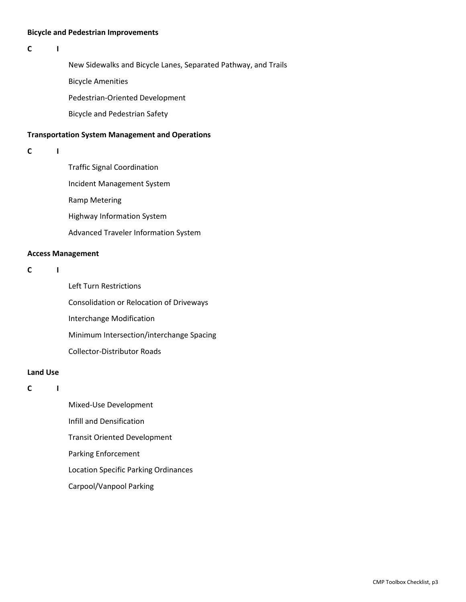#### **Bicycle and Pedestrian Improvements**

#### **C I**

New Sidewalks and Bicycle Lanes, Separated Pathway, and Trails

Bicycle Amenities

Pedestrian-Oriented Development

Bicycle and Pedestrian Safety

#### **Transportation System Management and Operations**

**C I** 

Traffic Signal Coordination Incident Management System Ramp Metering Highway Information System Advanced Traveler Information System

#### **Access Management**

# **C I**

Left Turn Restrictions Consolidation or Relocation of Driveways Interchange Modification Minimum Intersection/interchange Spacing Collector-Distributor Roads

## **Land Use**

**C I** 

Mixed-Use Development Infill and Densification Transit Oriented Development Parking Enforcement Location Specific Parking Ordinances Carpool/Vanpool Parking